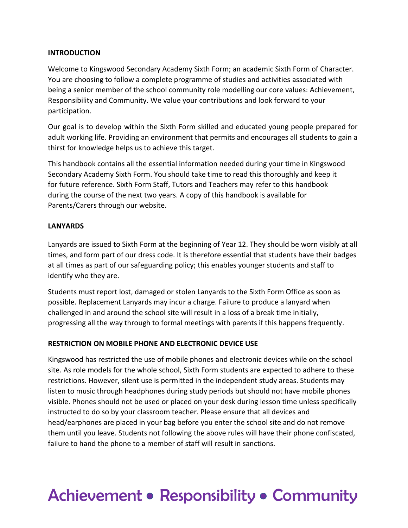#### **INTRODUCTION**

Welcome to Kingswood Secondary Academy Sixth Form; an academic Sixth Form of Character. You are choosing to follow a complete programme of studies and activities associated with being a senior member of the school community role modelling our core values: Achievement, Responsibility and Community. We value your contributions and look forward to your participation.

Our goal is to develop within the Sixth Form skilled and educated young people prepared for adult working life. Providing an environment that permits and encourages all students to gain a thirst for knowledge helps us to achieve this target.

This handbook contains all the essential information needed during your time in Kingswood Secondary Academy Sixth Form. You should take time to read this thoroughly and keep it for future reference. Sixth Form Staff, Tutors and Teachers may refer to this handbook during the course of the next two years. A copy of this handbook is available for Parents/Carers through our website.

#### **LANYARDS**

Lanyards are issued to Sixth Form at the beginning of Year 12. They should be worn visibly at all times, and form part of our dress code. It is therefore essential that students have their badges at all times as part of our safeguarding policy; this enables younger students and staff to identify who they are.

Students must report lost, damaged or stolen Lanyards to the Sixth Form Office as soon as possible. Replacement Lanyards may incur a charge. Failure to produce a lanyard when challenged in and around the school site will result in a loss of a break time initially, progressing all the way through to formal meetings with parents if this happens frequently.

#### **RESTRICTION ON MOBILE PHONE AND ELECTRONIC DEVICE USE**

Kingswood has restricted the use of mobile phones and electronic devices while on the school site. As role models for the whole school, Sixth Form students are expected to adhere to these restrictions. However, silent use is permitted in the independent study areas. Students may listen to music through headphones during study periods but should not have mobile phones visible. Phones should not be used or placed on your desk during lesson time unless specifically instructed to do so by your classroom teacher. Please ensure that all devices and head/earphones are placed in your bag before you enter the school site and do not remove them until you leave. Students not following the above rules will have their phone confiscated, failure to hand the phone to a member of staff will result in sanctions.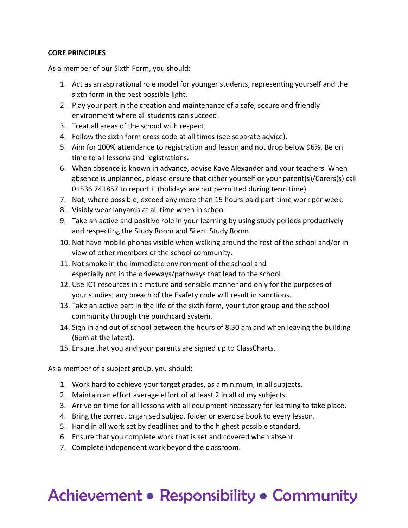#### **CORE PRINCIPLES**

As a member of our Sixth Form, you should:

- 1. Act as an aspirational role model for younger students, representing yourself and the sixth form in the best possible light.
- 2. Play your part in the creation and maintenance of a safe, secure and friendly environment where all students can succeed.
- 3. Treat all areas of the school with respect.
- 4. Follow the sixth form dress code at all times (see separate advice).
- 5. Aim for 100% attendance to registration and lesson and not drop below 96%. Be on time to all lessons and registrations.
- 6. When absence is known in advance, advise Kaye Alexander and your teachers. When absence is unplanned, please ensure that either yourself or your parent(s)/Carers(s) call 01536 741857 to report it (holidays are not permitted during term time).
- 7. Not, where possible, exceed any more than 15 hours paid part-time work per week.
- 8. Visibly wear lanyards at all time when in school
- 9. Take an active and positive role in your learning by using study periods productively and respecting the Study Room and Silent Study Room.
- 10. Not have mobile phones visible when walking around the rest of the school and/or in view of other members of the school community.
- 11. Not smoke in the immediate environment of the school and especially not in the driveways/pathways that lead to the school.
- 12. Use ICT resources in a mature and sensible manner and only for the purposes of your studies; any breach of the Esafety code will result in sanctions.
- 13. Take an active part in the life of the sixth form, your tutor group and the school community through the punchcard system.
- 14. Sign in and out of school between the hours of 8.30 am and when leaving the building (6pm at the latest).
- 15. Ensure that you and your parents are signed up to ClassCharts.

As a member of a subject group, you should:

- 1. Work hard to achieve your target grades, as a minimum, in all subjects.
- 2. Maintain an effort average effort of at least 2 in all of my subjects.
- 3. Arrive on time for all lessons with all equipment necessary for learning to take place.
- 4. Bring the correct organised subject folder or exercise book to every lesson.
- 5. Hand in all work set by deadlines and to the highest possible standard.
- 6. Ensure that you complete work that is set and covered when absent.
- 7. Complete independent work beyond the classroom.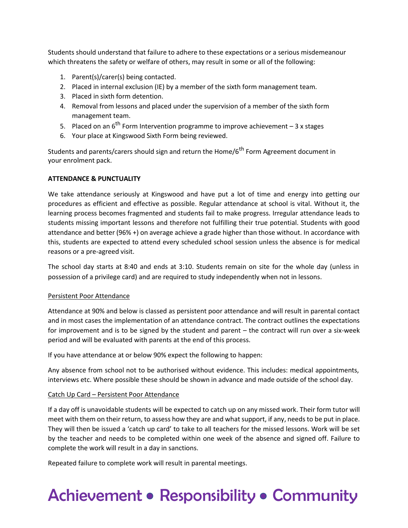Students should understand that failure to adhere to these expectations or a serious misdemeanour which threatens the safety or welfare of others, may result in some or all of the following:

- 1. Parent(s)/carer(s) being contacted.
- 2. Placed in internal exclusion (IE) by a member of the sixth form management team.
- 3. Placed in sixth form detention.
- 4. Removal from lessons and placed under the supervision of a member of the sixth form management team.
- 5. Placed on an  $6^{th}$  Form Intervention programme to improve achievement  $-3x$  stages
- 6. Your place at Kingswood Sixth Form being reviewed.

Students and parents/carers should sign and return the Home/ $6<sup>th</sup>$  Form Agreement document in your enrolment pack.

#### **ATTENDANCE & PUNCTUALITY**

We take attendance seriously at Kingswood and have put a lot of time and energy into getting our procedures as efficient and effective as possible. Regular attendance at school is vital. Without it, the learning process becomes fragmented and students fail to make progress. Irregular attendance leads to students missing important lessons and therefore not fulfilling their true potential. Students with good attendance and better (96% +) on average achieve a grade higher than those without. In accordance with this, students are expected to attend every scheduled school session unless the absence is for medical reasons or a pre-agreed visit.

The school day starts at 8:40 and ends at 3:10. Students remain on site for the whole day (unless in possession of a privilege card) and are required to study independently when not in lessons.

#### Persistent Poor Attendance

Attendance at 90% and below is classed as persistent poor attendance and will result in parental contact and in most cases the implementation of an attendance contract. The contract outlines the expectations for improvement and is to be signed by the student and parent – the contract will run over a six-week period and will be evaluated with parents at the end of this process.

If you have attendance at or below 90% expect the following to happen:

Any absence from school not to be authorised without evidence. This includes: medical appointments, interviews etc. Where possible these should be shown in advance and made outside of the school day.

#### Catch Up Card – Persistent Poor Attendance

If a day off is unavoidable students will be expected to catch up on any missed work. Their form tutor will meet with them on their return, to assess how they are and what support, if any, needs to be put in place. They will then be issued a 'catch up card' to take to all teachers for the missed lessons. Work will be set by the teacher and needs to be completed within one week of the absence and signed off. Failure to complete the work will result in a day in sanctions.

Repeated failure to complete work will result in parental meetings.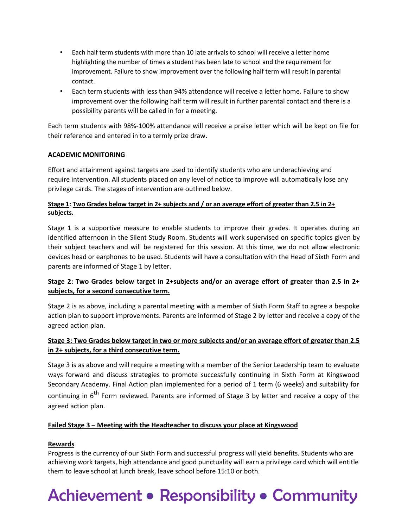- Each half term students with more than 10 late arrivals to school will receive a letter home highlighting the number of times a student has been late to school and the requirement for improvement. Failure to show improvement over the following half term will result in parental contact.
- Each term students with less than 94% attendance will receive a letter home. Failure to show improvement over the following half term will result in further parental contact and there is a possibility parents will be called in for a meeting.

Each term students with 98%-100% attendance will receive a praise letter which will be kept on file for their reference and entered in to a termly prize draw.

#### **ACADEMIC MONITORING**

Effort and attainment against targets are used to identify students who are underachieving and require intervention. All students placed on any level of notice to improve will automatically lose any privilege cards. The stages of intervention are outlined below.

#### **Stage 1: Two Grades below target in 2+ subjects and / or an average effort of greater than 2.5 in 2+ subjects.**

Stage 1 is a supportive measure to enable students to improve their grades. It operates during an identified afternoon in the Silent Study Room. Students will work supervised on specific topics given by their subject teachers and will be registered for this session. At this time, we do not allow electronic devices head or earphones to be used. Students will have a consultation with the Head of Sixth Form and parents are informed of Stage 1 by letter.

#### **Stage 2: Two Grades below target in 2+subjects and/or an average effort of greater than 2.5 in 2+ subjects, for a second consecutive term.**

Stage 2 is as above, including a parental meeting with a member of Sixth Form Staff to agree a bespoke action plan to support improvements. Parents are informed of Stage 2 by letter and receive a copy of the agreed action plan.

#### **Stage 3: Two Grades below target in two or more subjects and/or an average effort of greater than 2.5 in 2+ subjects, for a third consecutive term.**

Stage 3 is as above and will require a meeting with a member of the Senior Leadership team to evaluate ways forward and discuss strategies to promote successfully continuing in Sixth Form at Kingswood Secondary Academy. Final Action plan implemented for a period of 1 term (6 weeks) and suitability for continuing in  $6<sup>th</sup>$  Form reviewed. Parents are informed of Stage 3 by letter and receive a copy of the agreed action plan.

#### **Failed Stage 3 – Meeting with the Headteacher to discuss your place at Kingswood**

#### **Rewards**

Progress is the currency of our Sixth Form and successful progress will yield benefits. Students who are achieving work targets, high attendance and good punctuality will earn a privilege card which will entitle them to leave school at lunch break, leave school before 15:10 or both.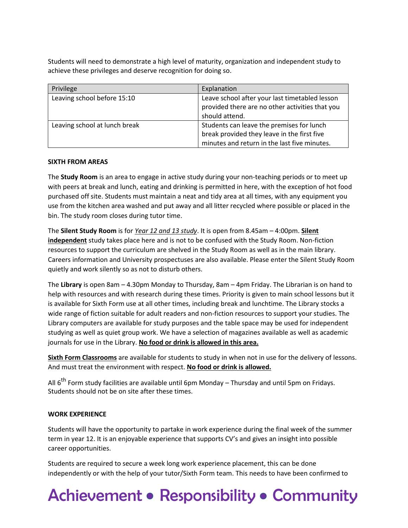Students will need to demonstrate a high level of maturity, organization and independent study to achieve these privileges and deserve recognition for doing so.

| Privilege                     | Explanation                                                                                                                              |  |
|-------------------------------|------------------------------------------------------------------------------------------------------------------------------------------|--|
| Leaving school before 15:10   | Leave school after your last timetabled lesson<br>provided there are no other activities that you<br>should attend.                      |  |
| Leaving school at lunch break | Students can leave the premises for lunch<br>break provided they leave in the first five<br>minutes and return in the last five minutes. |  |

#### **SIXTH FROM AREAS**

The **Study Room** is an area to engage in active study during your non-teaching periods or to meet up with peers at break and lunch, eating and drinking is permitted in here, with the exception of hot food purchased off site. Students must maintain a neat and tidy area at all times, with any equipment you use from the kitchen area washed and put away and all litter recycled where possible or placed in the bin. The study room closes during tutor time.

The **Silent Study Room** is for *Year 12 and 13 study*. It is open from 8.45am – 4:00pm. **Silent independent** study takes place here and is not to be confused with the Study Room. Non-fiction resources to support the curriculum are shelved in the Study Room as well as in the main library. Careers information and University prospectuses are also available. Please enter the Silent Study Room quietly and work silently so as not to disturb others.

The **Library** is open 8am – 4.30pm Monday to Thursday, 8am – 4pm Friday. The Librarian is on hand to help with resources and with research during these times. Priority is given to main school lessons but it is available for Sixth Form use at all other times, including break and lunchtime. The Library stocks a wide range of fiction suitable for adult readers and non-fiction resources to support your studies. The Library computers are available for study purposes and the table space may be used for independent studying as well as quiet group work. We have a selection of magazines available as well as academic journals for use in the Library. **No food or drink is allowed in this area.**

**Sixth Form Classrooms** are available for students to study in when not in use for the delivery of lessons. And must treat the environment with respect. **No food or drink is allowed.**

All 6<sup>th</sup> Form study facilities are available until 6pm Monday – Thursday and until 5pm on Fridays. Students should not be on site after these times.

#### **WORK EXPERIENCE**

Students will have the opportunity to partake in work experience during the final week of the summer term in year 12. It is an enjoyable experience that supports CV's and gives an insight into possible career opportunities.

Students are required to secure a week long work experience placement, this can be done independently or with the help of your tutor/Sixth Form team. This needs to have been confirmed to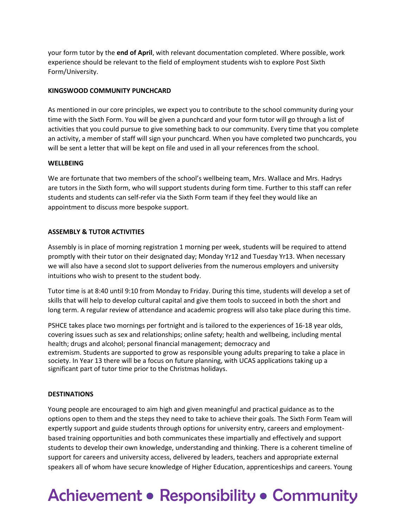your form tutor by the **end of April**, with relevant documentation completed. Where possible, work experience should be relevant to the field of employment students wish to explore Post Sixth Form/University.

#### **KINGSWOOD COMMUNITY PUNCHCARD**

As mentioned in our core principles, we expect you to contribute to the school community during your time with the Sixth Form. You will be given a punchcard and your form tutor will go through a list of activities that you could pursue to give something back to our community. Every time that you complete an activity, a member of staff will sign your punchcard. When you have completed two punchcards, you will be sent a letter that will be kept on file and used in all your references from the school.

#### **WELLBEING**

We are fortunate that two members of the school's wellbeing team, Mrs. Wallace and Mrs. Hadrys are tutors in the Sixth form, who will support students during form time. Further to this staff can refer students and students can self-refer via the Sixth Form team if they feel they would like an appointment to discuss more bespoke support.

#### **ASSEMBLY & TUTOR ACTIVITIES**

Assembly is in place of morning registration 1 morning per week, students will be required to attend promptly with their tutor on their designated day; Monday Yr12 and Tuesday Yr13. When necessary we will also have a second slot to support deliveries from the numerous employers and university intuitions who wish to present to the student body.

Tutor time is at 8:40 until 9:10 from Monday to Friday. During this time, students will develop a set of skills that will help to develop cultural capital and give them tools to succeed in both the short and long term. A regular review of attendance and academic progress will also take place during this time.

PSHCE takes place two mornings per fortnight and is tailored to the experiences of 16-18 year olds, covering issues such as sex and relationships; online safety; health and wellbeing, including mental health; drugs and alcohol; personal financial management; democracy and extremism. Students are supported to grow as responsible young adults preparing to take a place in society. In Year 13 there will be a focus on future planning, with UCAS applications taking up a significant part of tutor time prior to the Christmas holidays.

#### **DESTINATIONS**

Young people are encouraged to aim high and given meaningful and practical guidance as to the options open to them and the steps they need to take to achieve their goals. The Sixth Form Team will expertly support and guide students through options for university entry, careers and employmentbased training opportunities and both communicates these impartially and effectively and support students to develop their own knowledge, understanding and thinking. There is a coherent timeline of support for careers and university access, delivered by leaders, teachers and appropriate external speakers all of whom have secure knowledge of Higher Education, apprenticeships and careers. Young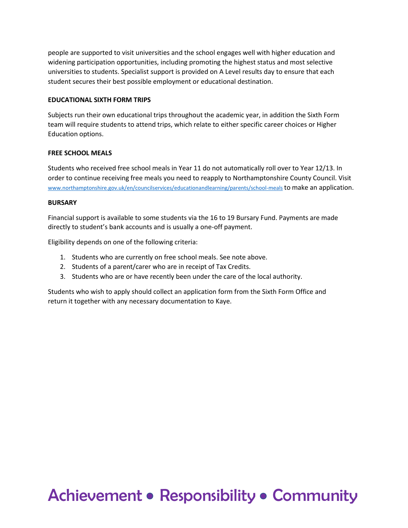people are supported to visit universities and the school engages well with higher education and widening participation opportunities, including promoting the highest status and most selective universities to students. Specialist support is provided on A Level results day to ensure that each student secures their best possible employment or educational destination.

#### **EDUCATIONAL SIXTH FORM TRIPS**

Subjects run their own educational trips throughout the academic year, in addition the Sixth Form team will require students to attend trips, which relate to either specific career choices or Higher Education options.

#### **FREE SCHOOL MEALS**

Students who received free school meals in Year 11 do not automatically roll over to Year 12/13. In order to continue receiving free meals you need to reapply to Northamptonshire County Council. Visit [www.northamptonshire.gov.uk/en/councilservices/educationandlearning/parents/school-meals](file://///northampton/homestaff/s.dunkley/6th%20Form/6th%20Form%20Admissions/Enrolment/www.northamptonshire.gov.uk/en/councilservices/educationandlearning/parents/school-meals) to make an application.

#### **BURSARY**

Financial support is available to some students via the 16 to 19 Bursary Fund. Payments are made directly to student's bank accounts and is usually a one-off payment.

Eligibility depends on one of the following criteria:

- 1. Students who are currently on free school meals. See note above.
- 2. Students of a parent/carer who are in receipt of Tax Credits.
- 3. Students who are or have recently been under the care of the local authority.

Students who wish to apply should collect an application form from the Sixth Form Office and return it together with any necessary documentation to Kaye.